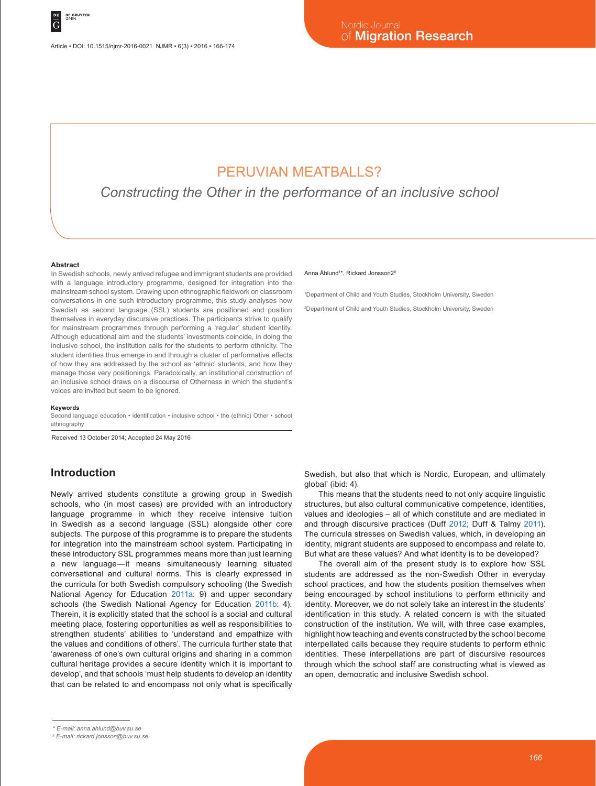# PERUVIAN MEATBALLS?

*Constructing the Other in the performance of an inclusive school*

#### **Abstract**

In Swedish schools, newly arrived refugee and immigrant students are provided with a language introductory programme, designed for integration into the mainstream school system. Drawing upon ethnographic fieldwork on classroom conversations in one such introductory programme, this study analyses how Swedish as second language (SSL) students are positioned and position themselves in everyday discursive practices. The participants strive to qualify for mainstream programmes through performing a 'regular' student identity. Although educational aim and the students' investments coincide, in doing the inclusive school, the institution calls for the students to perform ethnicity. The student identities thus emerge in and through a cluster of performative effects of how they are addressed by the school as 'ethnic' students, and how they manage those very positionings. Paradoxically, an institutional construction of an inclusive school draws on a discourse of Otherness in which the student's voices are invited but seem to be ignored.

#### **Keywords**

Second language education • identification • inclusive school • the (ethnic) Other • school ethnography

Received 13 October 2014; Accepted 24 May 2016

### **Introduction**

Newly arrived students constitute a growing group in Swedish schools, who (in most cases) are provided with an introductory language programme in which they receive intensive tuition in Swedish as a second language (SSL) alongside other core subjects. The purpose of this programme is to prepare the students for integration into the mainstream school system. Participating in these introductory SSL programmes means more than just learning a new language—it means simultaneously learning situated conversational and cultural norms. This is clearly expressed in the curricula for both Swedish compulsory schooling (the Swedish National Agency for Education 2011a: 9) and upper secondary schools (the Swedish National Agency for Education 2011b: 4). Therein, it is explicitly stated that the school is a social and cultural meeting place, fostering opportunities as well as responsibilities to strengthen students' abilities to 'understand and empathize with the values and conditions of others'. The curricula further state that 'awareness of one's own cultural origins and sharing in a common cultural heritage provides a secure identity which it is important to develop', and that schools 'must help students to develop an identity that can be related to and encompass not only what is specifically

#### Anna Åhlund1 \*, Rickard Jonsson2#

1 Department of Child and Youth Studies, Stockholm University, Sweden 2 Department of Child and Youth Studies, Stockholm University, Sweden

Swedish, but also that which is Nordic, European, and ultimately global' (ibid: 4).

This means that the students need to not only acquire linguistic structures, but also cultural communicative competence, identities, values and ideologies – all of which constitute and are mediated in and through discursive practices (Duff 2012; Duff & Talmy 2011). The curricula stresses on Swedish values, which, in developing an identity, migrant students are supposed to encompass and relate to. But what are these values? And what identity is to be developed?

The overall aim of the present study is to explore how SSL students are addressed as the non-Swedish Other in everyday school practices, and how the students position themselves when being encouraged by school institutions to perform ethnicity and identity. Moreover, we do not solely take an interest in the students' identification in this study. A related concern is with the situated construction of the institution. We will, with three case examples, highlight how teaching and events constructed by the school become interpellated calls because they require students to perform ethnic identities. These interpellations are part of discursive resources through which the school staff are constructing what is viewed as an open, democratic and inclusive Swedish school.

*<sup>\*</sup> E-mail: anna.ahlund@buv.su.se*

*<sup>#</sup> E-mail: rickard.jonsson@buv.su.se*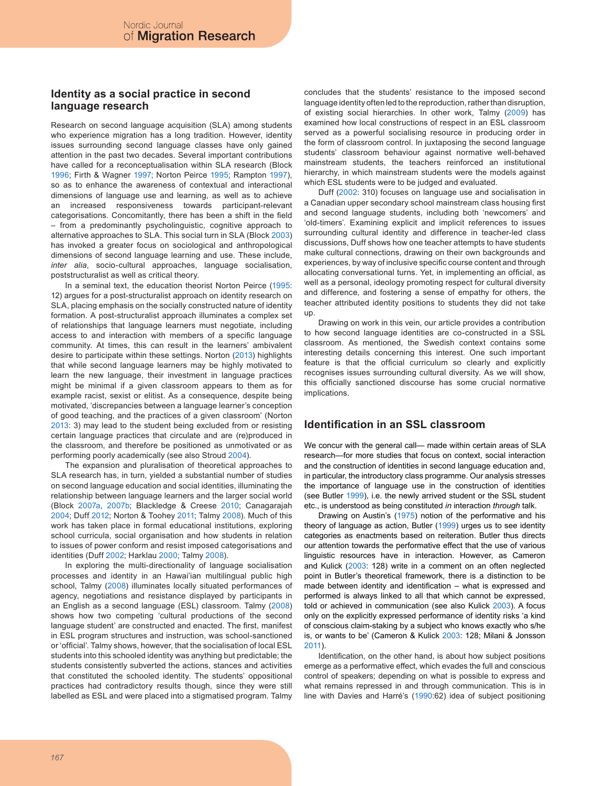### **Identity as a social practice in second language research**

Research on second language acquisition (SLA) among students who experience migration has a long tradition. However, identity issues surrounding second language classes have only gained attention in the past two decades. Several important contributions have called for a reconceptualisation within SLA research (Block 1996; Firth & Wagner 1997; Norton Peirce 1995; Rampton 1997), so as to enhance the awareness of contextual and interactional dimensions of language use and learning, as well as to achieve an increased responsiveness towards participant-relevant categorisations. Concomitantly, there has been a shift in the field – from a predominantly psycholinguistic, cognitive approach to alternative approaches to SLA. This social turn in SLA (Block 2003) has invoked a greater focus on sociological and anthropological dimensions of second language learning and use. These include, *inter alia*, socio-cultural approaches, language socialisation, poststructuralist as well as critical theory.

In a seminal text, the education theorist Norton Peirce (1995: 12) argues for a post-structuralist approach on identity research on SLA, placing emphasis on the socially constructed nature of identity formation. A post-structuralist approach illuminates a complex set of relationships that language learners must negotiate, including access to and interaction with members of a specific language community. At times, this can result in the learners' ambivalent desire to participate within these settings. Norton (2013) highlights that while second language learners may be highly motivated to learn the new language, their investment in language practices might be minimal if a given classroom appears to them as for example racist, sexist or elitist. As a consequence, despite being motivated, 'discrepancies between a language learner's conception of good teaching, and the practices of a given classroom' (Norton 2013: 3) may lead to the student being excluded from or resisting certain language practices that circulate and are (re)produced in the classroom, and therefore be positioned as unmotivated or as performing poorly academically (see also Stroud 2004).

The expansion and pluralisation of theoretical approaches to SLA research has, in turn, yielded a substantial number of studies on second language education and social identities, illuminating the relationship between language learners and the larger social world (Block 2007a, 2007b; Blackledge & Creese 2010; Canagarajah 2004; Duff 2012; Norton & Toohey 2011; Talmy 2008). Much of this work has taken place in formal educational institutions, exploring school curricula, social organisation and how students in relation to issues of power conform and resist imposed categorisations and identities (Duff 2002; Harklau 2000; Talmy 2008).

In exploring the multi-directionality of language socialisation processes and identity in an Hawai'ian multilingual public high school, Talmy (2008) illuminates locally situated performances of agency, negotiations and resistance displayed by participants in an English as a second language (ESL) classroom. Talmy (2008) shows how two competing 'cultural productions of the second language student' are constructed and enacted. The first, manifest in ESL program structures and instruction, was school-sanctioned or 'official'. Talmy shows, however, that the socialisation of local ESL students into this schooled identity was anything but predictable; the students consistently subverted the actions, stances and activities that constituted the schooled identity. The students' oppositional practices had contradictory results though, since they were still labelled as ESL and were placed into a stigmatised program. Talmy concludes that the students' resistance to the imposed second language identity often led to the reproduction, rather than disruption, of existing social hierarchies. In other work, Talmy (2009) has examined how local constructions of respect in an ESL classroom served as a powerful socialising resource in producing order in the form of classroom control. In juxtaposing the second language students' classroom behaviour against normative well-behaved mainstream students, the teachers reinforced an institutional hierarchy, in which mainstream students were the models against which ESL students were to be judged and evaluated.

Duff (2002: 310) focuses on language use and socialisation in a Canadian upper secondary school mainstream class housing first and second language students, including both 'newcomers' and 'old-timers'. Examining explicit and implicit references to issues surrounding cultural identity and difference in teacher-led class discussions, Duff shows how one teacher attempts to have students make cultural connections, drawing on their own backgrounds and experiences, by way of inclusive specific course content and through allocating conversational turns. Yet, in implementing an official, as well as a personal, ideology promoting respect for cultural diversity and difference, and fostering a sense of empathy for others, the teacher attributed identity positions to students they did not take up.

Drawing on work in this vein, our article provides a contribution to how second language identities are co-constructed in a SSL classroom. As mentioned, the Swedish context contains some interesting details concerning this interest. One such important feature is that the official curriculum so clearly and explicitly recognises issues surrounding cultural diversity. As we will show, this officially sanctioned discourse has some crucial normative implications.

#### **Identification in an SSL classroom**

We concur with the general call— made within certain areas of SLA research—for more studies that focus on context, social interaction and the construction of identities in second language education and, in particular, the introductory class programme. Our analysis stresses the importance of language use in the construction of identities (see Butler 1999), i.e. the newly arrived student or the SSL student etc., is understood as being constituted *in* interaction *through* talk.

Drawing on Austin's (1975) notion of the performative and his theory of language as action, Butler (1999) urges us to see identity categories as enactments based on reiteration. Butler thus directs our attention towards the performative effect that the use of various linguistic resources have in interaction. However, as Cameron and Kulick (2003: 128) write in a comment on an often neglected point in Butler's theoretical framework, there is a distinction to be made between identity and identification – what is expressed and performed is always linked to all that which cannot be expressed, told or achieved in communication (see also Kulick 2003). A focus only on the explicitly expressed performance of identity risks 'a kind of conscious claim-staking by a subject who knows exactly who s/he is, or wants to be' (Cameron & Kulick 2003: 128; Milani & Jonsson 2011).

Identification, on the other hand, is about how subject positions emerge as a performative effect, which evades the full and conscious control of speakers; depending on what is possible to express and what remains repressed in and through communication. This is in line with Davies and Harré's (1990:62) idea of subject positioning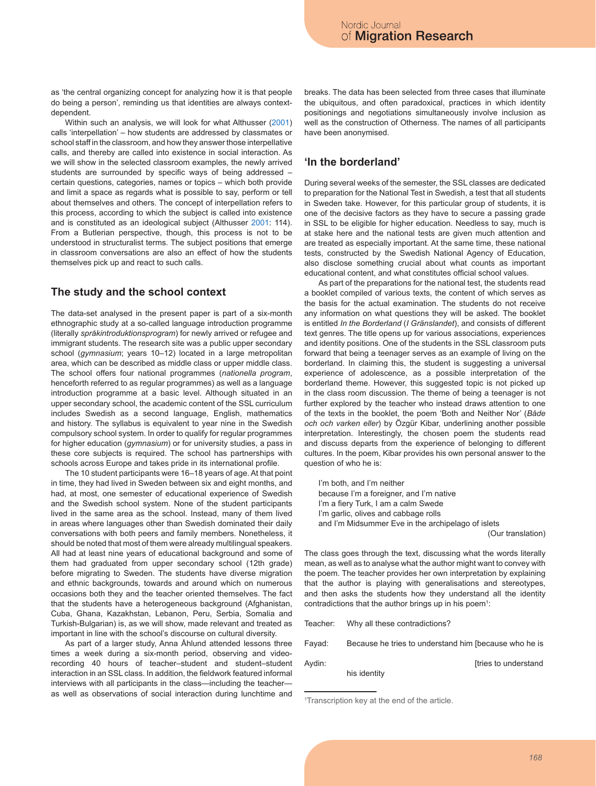as 'the central organizing concept for analyzing how it is that people do being a person', reminding us that identities are always contextdependent.

Within such an analysis, we will look for what Althusser (2001) calls 'interpellation' – how students are addressed by classmates or school staff in the classroom, and how they answer those interpellative calls, and thereby are called into existence in social interaction. As we will show in the selected classroom examples, the newly arrived students are surrounded by specific ways of being addressed – certain questions, categories, names or topics – which both provide and limit a space as regards what is possible to say, perform or tell about themselves and others. The concept of interpellation refers to this process, according to which the subject is called into existence and is constituted as an ideological subject (Althusser 2001: 114). From a Butlerian perspective, though, this process is not to be understood in structuralist terms. The subject positions that emerge in classroom conversations are also an effect of how the students themselves pick up and react to such calls.

#### **The study and the school context**

The data-set analysed in the present paper is part of a six-month ethnographic study at a so-called language introduction programme (literally *språkintroduktionsprogram*) for newly arrived or refugee and immigrant students. The research site was a public upper secondary school (*gymnasium*; years 10–12) located in a large metropolitan area, which can be described as middle class or upper middle class. The school offers four national programmes (*nationella program*, henceforth referred to as regular programmes) as well as a language introduction programme at a basic level. Although situated in an upper secondary school, the academic content of the SSL curriculum includes Swedish as a second language, English, mathematics and history. The syllabus is equivalent to year nine in the Swedish compulsory school system. In order to qualify for regular programmes for higher education (*gymnasium*) or for university studies, a pass in these core subjects is required. The school has partnerships with schools across Europe and takes pride in its international profile.

The 10 student participants were 16–18 years of age. At that point in time, they had lived in Sweden between six and eight months, and had, at most, one semester of educational experience of Swedish and the Swedish school system. None of the student participants lived in the same area as the school. Instead, many of them lived in areas where languages other than Swedish dominated their daily conversations with both peers and family members. Nonetheless, it should be noted that most of them were already multilingual speakers. All had at least nine years of educational background and some of them had graduated from upper secondary school (12th grade) before migrating to Sweden. The students have diverse migration and ethnic backgrounds, towards and around which on numerous occasions both they and the teacher oriented themselves. The fact that the students have a heterogeneous background (Afghanistan, Cuba, Ghana, Kazakhstan, Lebanon, Peru, Serbia, Somalia and Turkish-Bulgarian) is, as we will show, made relevant and treated as important in line with the school's discourse on cultural diversity.

As part of a larger study, Anna Åhlund attended lessons three times a week during a six-month period, observing and videorecording 40 hours of teacher–student and student–student interaction in an SSL class. In addition, the fieldwork featured informal interviews with all participants in the class—including the teacher as well as observations of social interaction during lunchtime and

breaks. The data has been selected from three cases that illuminate the ubiquitous, and often paradoxical, practices in which identity positionings and negotiations simultaneously involve inclusion as well as the construction of Otherness. The names of all participants have been anonymised.

#### **'In the borderland'**

During several weeks of the semester, the SSL classes are dedicated to preparation for the National Test in Swedish, a test that all students in Sweden take. However, for this particular group of students, it is one of the decisive factors as they have to secure a passing grade in SSL to be eligible for higher education. Needless to say, much is at stake here and the national tests are given much attention and are treated as especially important. At the same time, these national tests, constructed by the Swedish National Agency of Education, also disclose something crucial about what counts as important educational content, and what constitutes official school values.

As part of the preparations for the national test, the students read a booklet compiled of various texts, the content of which serves as the basis for the actual examination. The students do not receive any information on what questions they will be asked. The booklet is entitled *In the Borderland* (*I Gränslandet*), and consists of different text genres. The title opens up for various associations, experiences and identity positions. One of the students in the SSL classroom puts forward that being a teenager serves as an example of living on the borderland. In claiming this, the student is suggesting a universal experience of adolescence, as a possible interpretation of the borderland theme. However, this suggested topic is not picked up in the class room discussion. The theme of being a teenager is not further explored by the teacher who instead draws attention to one of the texts in the booklet, the poem 'Both and Neither Nor' (*Både och och varken eller*) by Özgür Kibar, underlining another possible interpretation. Interestingly, the chosen poem the students read and discuss departs from the experience of belonging to different cultures. In the poem, Kibar provides his own personal answer to the question of who he is:

I'm both, and I'm neither because I'm a foreigner, and I'm native I'm a fiery Turk, I am a calm Swede I'm garlic, olives and cabbage rolls and I'm Midsummer Eve in the archipelago of islets (Our translation)

The class goes through the text, discussing what the words literally mean, as well as to analyse what the author might want to convey with the poem. The teacher provides her own interpretation by explaining that the author is playing with generalisations and stereotypes, and then asks the students how they understand all the identity contradictions that the author brings up in his poem<sup>1</sup>:

Teacher: Why all these contradictions?

Fayad: Because he tries to understand him [because who he is

Aydin: example and the state of the state of the state of the state of the state of the state of the state of the state of the state of the state of the state of the state of the state of the state of the state of the stat

his identity

<sup>1</sup> Transcription key at the end of the article.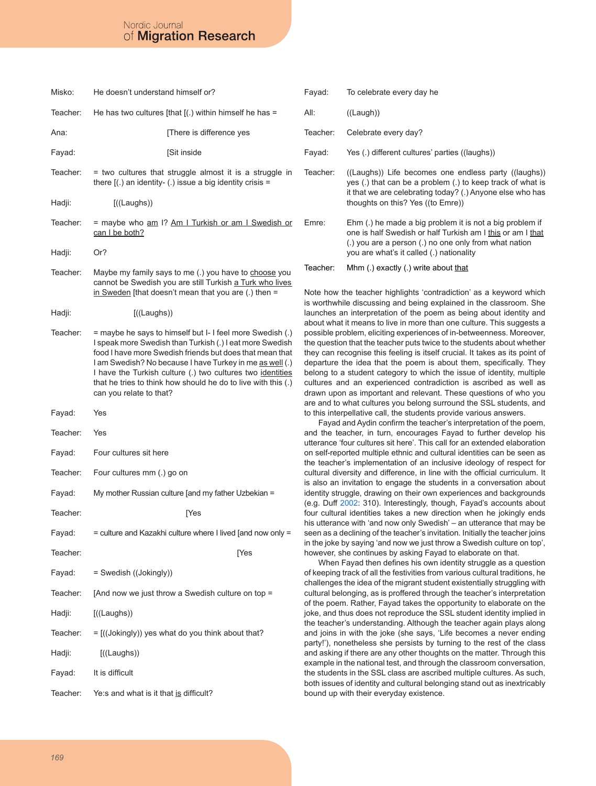| Misko:   | He doesn't understand himself or?                                                                                                                                                                                                                                                                                                                                                                       |  |
|----------|---------------------------------------------------------------------------------------------------------------------------------------------------------------------------------------------------------------------------------------------------------------------------------------------------------------------------------------------------------------------------------------------------------|--|
| Teacher: | He has two cultures [that $[(.)$ within himself he has =                                                                                                                                                                                                                                                                                                                                                |  |
| Ana:     | [There is difference yes                                                                                                                                                                                                                                                                                                                                                                                |  |
| Fayad:   | [Sit inside                                                                                                                                                                                                                                                                                                                                                                                             |  |
| Teacher: | = two cultures that struggle almost it is a struggle in<br>there $[(.)$ an identity- $(.)$ issue a big identity crisis =                                                                                                                                                                                                                                                                                |  |
| Hadji:   | [(Laughs])                                                                                                                                                                                                                                                                                                                                                                                              |  |
| Teacher: | = maybe who am I? Am I Turkish or am I Swedish or<br>can I be both?                                                                                                                                                                                                                                                                                                                                     |  |
| Hadji:   | Or?                                                                                                                                                                                                                                                                                                                                                                                                     |  |
| Teacher: | Maybe my family says to me (.) you have to choose you<br>cannot be Swedish you are still Turkish a Turk who lives<br>in Sweden [that doesn't mean that you are $(.)$ then =                                                                                                                                                                                                                             |  |
| Hadji:   | [(Laughs])                                                                                                                                                                                                                                                                                                                                                                                              |  |
| Teacher: | = maybe he says to himself but I- I feel more Swedish (.)<br>I speak more Swedish than Turkish (.) I eat more Swedish<br>food I have more Swedish friends but does that mean that<br>I am Swedish? No because I have Turkey in me as well (.)<br>I have the Turkish culture (.) two cultures two identities<br>that he tries to think how should he do to live with this (.)<br>can you relate to that? |  |
| Fayad:   | Yes                                                                                                                                                                                                                                                                                                                                                                                                     |  |
| Teacher: | Yes                                                                                                                                                                                                                                                                                                                                                                                                     |  |
| Fayad:   | Four cultures sit here                                                                                                                                                                                                                                                                                                                                                                                  |  |
| Teacher: | Four cultures mm (.) go on                                                                                                                                                                                                                                                                                                                                                                              |  |
| Fayad:   | My mother Russian culture [and my father Uzbekian =                                                                                                                                                                                                                                                                                                                                                     |  |
| Teacher: | [Yes                                                                                                                                                                                                                                                                                                                                                                                                    |  |
| Fayad:   | = culture and Kazakhi culture where I lived [and now only =                                                                                                                                                                                                                                                                                                                                             |  |
| Teacher: | [Yes                                                                                                                                                                                                                                                                                                                                                                                                    |  |
| Fayad:   | = Swedish ((Jokingly))                                                                                                                                                                                                                                                                                                                                                                                  |  |
|          | Teacher: [And now we just throw a Swedish culture on top =                                                                                                                                                                                                                                                                                                                                              |  |
| Hadji:   | [((Laughs))                                                                                                                                                                                                                                                                                                                                                                                             |  |
| Teacher: | = [((Jokingly)) yes what do you think about that?                                                                                                                                                                                                                                                                                                                                                       |  |
| Hadji:   | [((Laughs))                                                                                                                                                                                                                                                                                                                                                                                             |  |
|          | Fayad: It is difficult                                                                                                                                                                                                                                                                                                                                                                                  |  |
|          | Teacher: Ye:s and what is it that is difficult?                                                                                                                                                                                                                                                                                                                                                         |  |

| Fayad: |  | To celebrate every day he |
|--------|--|---------------------------|
|--------|--|---------------------------|

All: ((Laugh))

Teacher: Celebrate every day?

Fayad: Yes (.) different cultures' parties ((laughs))

- Teacher: ((Laughs)) Life becomes one endless party ((laughs)) yes (.) that can be a problem (.) to keep track of what is it that we are celebrating today? (.) Anyone else who has thoughts on this? Yes ((to Emre))
- Emre: Ehm (.) he made a big problem it is not a big problem if one is half Swedish or half Turkish am I this or am I that (.) you are a person (.) no one only from what nation you are what's it called (.) nationality

Teacher: Mhm (.) exactly (.) write about that

Note how the teacher highlights 'contradiction' as a keyword which is worthwhile discussing and being explained in the classroom. She launches an interpretation of the poem as being about identity and about what it means to live in more than one culture. This suggests a possible problem, eliciting experiences of in-betweenness. Moreover, the question that the teacher puts twice to the students about whether they can recognise this feeling is itself crucial. It takes as its point of departure the idea that the poem is about them, specifically. They belong to a student category to which the issue of identity, multiple cultures and an experienced contradiction is ascribed as well as drawn upon as important and relevant. These questions of who you are and to what cultures you belong surround the SSL students, and to this interpellative call, the students provide various answers.

Fayad and Aydin confirm the teacher's interpretation of the poem, and the teacher, in turn, encourages Fayad to further develop his utterance 'four cultures sit here'. This call for an extended elaboration on self-reported multiple ethnic and cultural identities can be seen as the teacher's implementation of an inclusive ideology of respect for cultural diversity and difference, in line with the official curriculum. It is also an invitation to engage the students in a conversation about identity struggle, drawing on their own experiences and backgrounds (e.g. Duff 2002: 310). Interestingly, though, Fayad's accounts about four cultural identities takes a new direction when he jokingly ends his utterance with 'and now only Swedish' – an utterance that may be seen as a declining of the teacher's invitation. Initially the teacher joins in the joke by saying 'and now we just throw a Swedish culture on top', however, she continues by asking Fayad to elaborate on that.

When Fayad then defines his own identity struggle as a question of keeping track of all the festivities from various cultural traditions, he challenges the idea of the migrant student existentially struggling with cultural belonging, as is proffered through the teacher's interpretation of the poem. Rather, Fayad takes the opportunity to elaborate on the joke, and thus does not reproduce the SSL student identity implied in the teacher's understanding. Although the teacher again plays along and joins in with the joke (she says, 'Life becomes a never ending party!'), nonetheless she persists by turning to the rest of the class and asking if there are any other thoughts on the matter. Through this example in the national test, and through the classroom conversation, the students in the SSL class are ascribed multiple cultures. As such, both issues of identity and cultural belonging stand out as inextricably bound up with their everyday existence.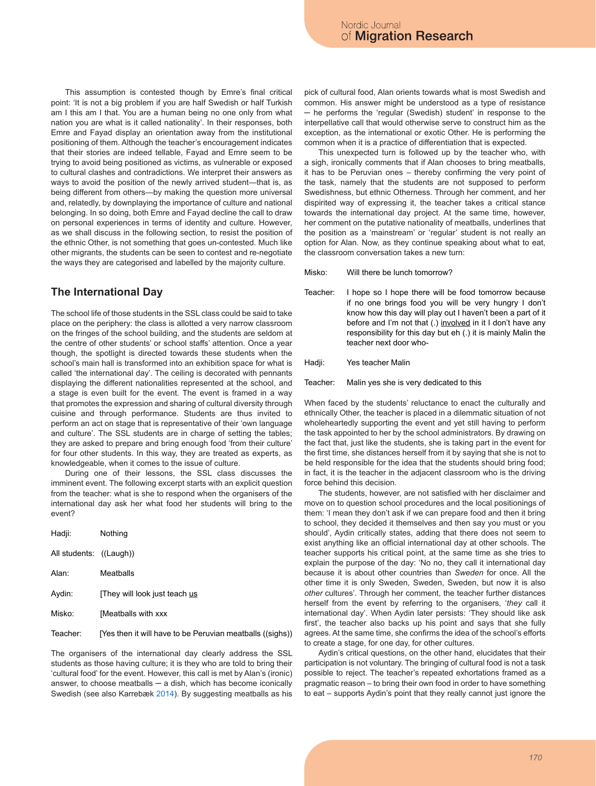This assumption is contested though by Emre's final critical point: 'It is not a big problem if you are half Swedish or half Turkish am I this am I that. You are a human being no one only from what nation you are what is it called nationality'. In their responses, both Emre and Fayad display an orientation away from the institutional positioning of them. Although the teacher's encouragement indicates that their stories are indeed tellable, Fayad and Emre seem to be trying to avoid being positioned as victims, as vulnerable or exposed to cultural clashes and contradictions. We interpret their answers as ways to avoid the position of the newly arrived student—that is, as being different from others—by making the question more universal and, relatedly, by downplaying the importance of culture and national belonging. In so doing, both Emre and Fayad decline the call to draw on personal experiences in terms of identity and culture. However, as we shall discuss in the following section, to resist the position of the ethnic Other, is not something that goes un-contested. Much like other migrants, the students can be seen to contest and re-negotiate the ways they are categorised and labelled by the majority culture.

# **The International Day**

The school life of those students in the SSL class could be said to take place on the periphery: the class is allotted a very narrow classroom on the fringes of the school building, and the students are seldom at the centre of other students' or school staffs' attention. Once a year though, the spotlight is directed towards these students when the school's main hall is transformed into an exhibition space for what is called 'the international day'. The ceiling is decorated with pennants displaying the different nationalities represented at the school, and a stage is even built for the event. The event is framed in a way that promotes the expression and sharing of cultural diversity through cuisine and through performance. Students are thus invited to perform an act on stage that is representative of their 'own language and culture'. The SSL students are in charge of setting the tables; they are asked to prepare and bring enough food 'from their culture' for four other students. In this way, they are treated as experts, as knowledgeable, when it comes to the issue of culture.

During one of their lessons, the SSL class discusses the imminent event. The following excerpt starts with an explicit question from the teacher: what is she to respond when the organisers of the international day ask her what food her students will bring to the event?

| Hadji:                  | Nothing                                                   |
|-------------------------|-----------------------------------------------------------|
| All students: ((Laugh)) |                                                           |
| Alan:                   | Meatballs                                                 |
| Aydin:                  | [They will look just teach us                             |
| Misko:                  | Meatballs with xxx                                        |
| Teacher:                | [Yes then it will have to be Peruvian meatballs ((sighs)) |

The organisers of the international day clearly address the SSL students as those having culture; it is they who are told to bring their 'cultural food' for the event. However, this call is met by Alan's (ironic) answer, to choose meatballs  $-$  a dish, which has become iconically Swedish (see also Karrebæk 2014). By suggesting meatballs as his

pick of cultural food, Alan orients towards what is most Swedish and common. His answer might be understood as a type of resistance ─ he performs the 'regular (Swedish) student' in response to the interpellative call that would otherwise serve to construct him as the exception, as the international or exotic Other. He is performing the common when it is a practice of differentiation that is expected.

This unexpected turn is followed up by the teacher who, with a sigh, ironically comments that if Alan chooses to bring meatballs, it has to be Peruvian ones – thereby confirming the very point of the task, namely that the students are not supposed to perform Swedishness, but ethnic Otherness. Through her comment, and her dispirited way of expressing it, the teacher takes a critical stance towards the international day project. At the same time, however, her comment on the putative nationality of meatballs, underlines that the position as a 'mainstream' or 'regular' student is not really an option for Alan. Now, as they continue speaking about what to eat, the classroom conversation takes a new turn:

Misko: Will there be lunch tomorrow?

Teacher: I hope so I hope there will be food tomorrow because if no one brings food you will be very hungry I don't know how this day will play out I haven't been a part of it before and I'm not that (.) involved in it I don't have any responsibility for this day but eh (.) it is mainly Malin the teacher next door who-

Hadji: Yes teacher Malin

Teacher: Malin yes she is very dedicated to this

When faced by the students' reluctance to enact the culturally and ethnically Other, the teacher is placed in a dilemmatic situation of not wholeheartedly supporting the event and yet still having to perform the task appointed to her by the school administrators. By drawing on the fact that, just like the students, she is taking part in the event for the first time, she distances herself from it by saying that she is not to be held responsible for the idea that the students should bring food; in fact, it is the teacher in the adjacent classroom who is the driving force behind this decision.

The students, however, are not satisfied with her disclaimer and move on to question school procedures and the local positionings of them: 'I mean they don't ask if we can prepare food and then it bring to school, they decided it themselves and then say you must or you should', Aydin critically states, adding that there does not seem to exist anything like an official international day at other schools. The teacher supports his critical point, at the same time as she tries to explain the purpose of the day: 'No no, they call it international day because it is about other countries than *Sweden* for once. All the other time it is only Sweden, Sweden, Sweden, but now it is also *other* cultures'. Through her comment, the teacher further distances herself from the event by referring to the organisers, '*they* call it international day'. When Aydin later persists: 'They should like ask first', the teacher also backs up his point and says that she fully agrees. At the same time, she confirms the idea of the school's efforts to create a stage, for one day, for other cultures.

Aydin's critical questions, on the other hand, elucidates that their participation is not voluntary. The bringing of cultural food is not a task possible to reject. The teacher's repeated exhortations framed as a pragmatic reason – to bring their own food in order to have something to eat – supports Aydin's point that they really cannot just ignore the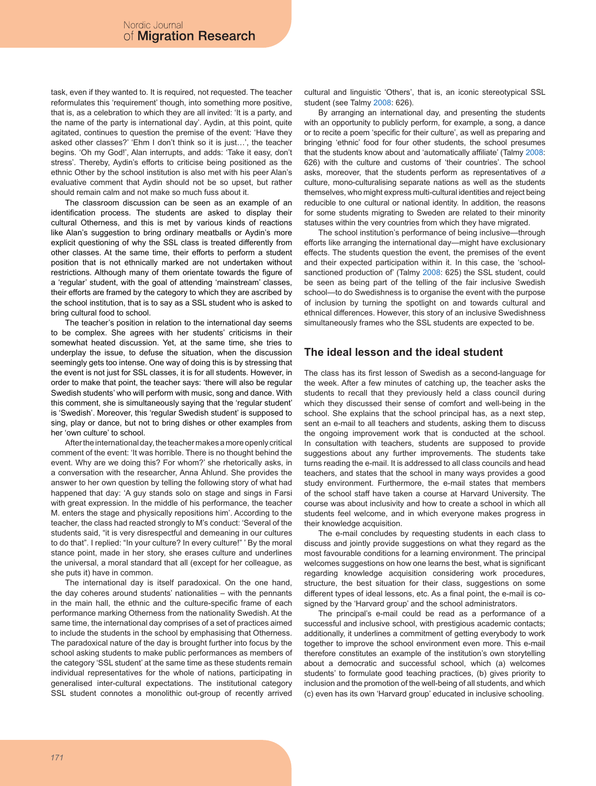task, even if they wanted to. It is required, not requested. The teacher reformulates this 'requirement' though, into something more positive, that is, as a celebration to which they are all invited: 'It is a party, and the name of the party is international day'. Aydin, at this point, quite agitated, continues to question the premise of the event: 'Have they asked other classes?' 'Ehm I don't think so it is just…', the teacher begins. 'Oh my God!', Alan interrupts, and adds: 'Take it easy, don't stress'. Thereby, Aydin's efforts to criticise being positioned as the ethnic Other by the school institution is also met with his peer Alan's evaluative comment that Aydin should not be so upset, but rather should remain calm and not make so much fuss about it.

The classroom discussion can be seen as an example of an identification process. The students are asked to display their cultural Otherness, and this is met by various kinds of reactions like Alan's suggestion to bring ordinary meatballs or Aydin's more explicit questioning of why the SSL class is treated differently from other classes. At the same time, their efforts to perform a student position that is not ethnically marked are not undertaken without restrictions. Although many of them orientate towards the figure of a 'regular' student, with the goal of attending 'mainstream' classes, their efforts are framed by the category to which they are ascribed by the school institution, that is to say as a SSL student who is asked to bring cultural food to school.

The teacher's position in relation to the international day seems to be complex. She agrees with her students' criticisms in their somewhat heated discussion. Yet, at the same time, she tries to underplay the issue, to defuse the situation, when the discussion seemingly gets too intense. One way of doing this is by stressing that the event is not just for SSL classes, it is for all students. However, in order to make that point, the teacher says: 'there will also be regular Swedish students' who will perform with music, song and dance. With this comment, she is simultaneously saying that the 'regular student' is 'Swedish'. Moreover, this 'regular Swedish student' is supposed to sing, play or dance, but not to bring dishes or other examples from her 'own culture' to school.

After the international day, the teacher makes a more openly critical comment of the event: 'It was horrible. There is no thought behind the event. Why are we doing this? For whom?' she rhetorically asks, in a conversation with the researcher, Anna Åhlund. She provides the answer to her own question by telling the following story of what had happened that day: 'A guy stands solo on stage and sings in Farsi with great expression. In the middle of his performance, the teacher M. enters the stage and physically repositions him'. According to the teacher, the class had reacted strongly to M's conduct: 'Several of the students said, "it is very disrespectful and demeaning in our cultures to do that". I replied: "In your culture? In every culture!" ' By the moral stance point, made in her story, she erases culture and underlines the universal, a moral standard that all (except for her colleague, as she puts it) have in common.

The international day is itself paradoxical. On the one hand, the day coheres around students' nationalities – with the pennants in the main hall, the ethnic and the culture-specific frame of each performance marking Otherness from the nationality Swedish. At the same time, the international day comprises of a set of practices aimed to include the students in the school by emphasising that Otherness. The paradoxical nature of the day is brought further into focus by the school asking students to make public performances as members of the category 'SSL student' at the same time as these students remain individual representatives for the whole of nations, participating in generalised inter-cultural expectations. The institutional category SSL student connotes a monolithic out-group of recently arrived

cultural and linguistic 'Others', that is, an iconic stereotypical SSL student (see Talmy 2008: 626).

By arranging an international day, and presenting the students with an opportunity to publicly perform, for example, a song, a dance or to recite a poem 'specific for their culture', as well as preparing and bringing 'ethnic' food for four other students, the school presumes that the students know about and 'automatically affiliate' (Talmy 2008: 626) with the culture and customs of 'their countries'. The school asks, moreover, that the students perform as representatives of *a* culture, mono-culturalising separate nations as well as the students themselves, who might express multi-cultural identities and reject being reducible to one cultural or national identity. In addition, the reasons for some students migrating to Sweden are related to their minority statuses within the very countries from which they have migrated.

The school institution's performance of being inclusive—through efforts like arranging the international day—might have exclusionary effects. The students question the event, the premises of the event and their expected participation within it. In this case, the 'schoolsanctioned production of' (Talmy 2008: 625) the SSL student, could be seen as being part of the telling of the fair inclusive Swedish school—to do Swedishness is to organise the event with the purpose of inclusion by turning the spotlight on and towards cultural and ethnical differences. However, this story of an inclusive Swedishness simultaneously frames who the SSL students are expected to be.

## **The ideal lesson and the ideal student**

The class has its first lesson of Swedish as a second-language for the week. After a few minutes of catching up, the teacher asks the students to recall that they previously held a class council during which they discussed their sense of comfort and well-being in the school. She explains that the school principal has, as a next step, sent an e-mail to all teachers and students, asking them to discuss the ongoing improvement work that is conducted at the school. In consultation with teachers, students are supposed to provide suggestions about any further improvements. The students take turns reading the e-mail. It is addressed to all class councils and head teachers, and states that the school in many ways provides a good study environment. Furthermore, the e-mail states that members of the school staff have taken a course at Harvard University. The course was about inclusivity and how to create a school in which all students feel welcome, and in which everyone makes progress in their knowledge acquisition.

The e-mail concludes by requesting students in each class to discuss and jointly provide suggestions on what they regard as the most favourable conditions for a learning environment. The principal welcomes suggestions on how one learns the best, what is significant regarding knowledge acquisition considering work procedures, structure, the best situation for their class, suggestions on some different types of ideal lessons, etc. As a final point, the e-mail is cosigned by the 'Harvard group' and the school administrators.

The principal's e-mail could be read as a performance of a successful and inclusive school, with prestigious academic contacts; additionally, it underlines a commitment of getting everybody to work together to improve the school environment even more. This e-mail therefore constitutes an example of the institution's own storytelling about a democratic and successful school, which (a) welcomes students' to formulate good teaching practices, (b) gives priority to inclusion and the promotion of the well-being of all students, and which (c) even has its own 'Harvard group' educated in inclusive schooling.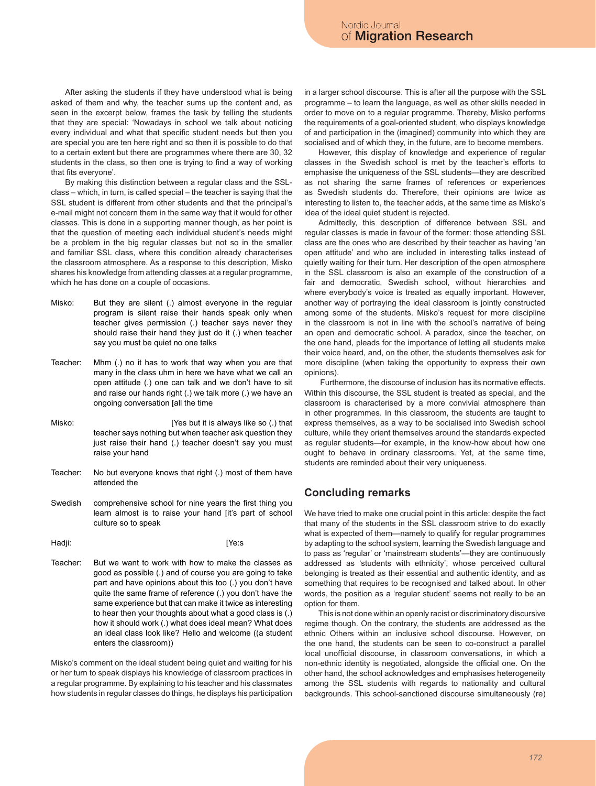After asking the students if they have understood what is being asked of them and why, the teacher sums up the content and, as seen in the excerpt below, frames the task by telling the students that they are special: 'Nowadays in school we talk about noticing every individual and what that specific student needs but then you are special you are ten here right and so then it is possible to do that to a certain extent but there are programmes where there are 30, 32 students in the class, so then one is trying to find a way of working that fits everyone'.

By making this distinction between a regular class and the SSLclass – which, in turn, is called special – the teacher is saying that the SSL student is different from other students and that the principal's e-mail might not concern them in the same way that it would for other classes. This is done in a supporting manner though, as her point is that the question of meeting each individual student's needs might be a problem in the big regular classes but not so in the smaller and familiar SSL class, where this condition already characterises the classroom atmosphere. As a response to this description, Misko shares his knowledge from attending classes at a regular programme, which he has done on a couple of occasions.

- Misko: But they are silent (.) almost everyone in the regular program is silent raise their hands speak only when teacher gives permission (.) teacher says never they should raise their hand they just do it (.) when teacher say you must be quiet no one talks
- Teacher: Mhm (.) no it has to work that way when you are that many in the class uhm in here we have what we call an open attitude (.) one can talk and we don't have to sit and raise our hands right (.) we talk more (.) we have an ongoing conversation [all the time
- Misko: [Yes but it is always like so (.) that teacher says nothing but when teacher ask question they just raise their hand (.) teacher doesn't say you must raise your hand
- Teacher: No but everyone knows that right (.) most of them have attended the
- Swedish comprehensive school for nine years the first thing you learn almost is to raise your hand [it's part of school culture so to speak
- Hadji: [Ye:s
- Teacher: But we want to work with how to make the classes as good as possible (.) and of course you are going to take part and have opinions about this too (.) you don't have quite the same frame of reference (.) you don't have the same experience but that can make it twice as interesting to hear then your thoughts about what a good class is (.) how it should work (.) what does ideal mean? What does an ideal class look like? Hello and welcome ((a student enters the classroom))

Misko's comment on the ideal student being quiet and waiting for his or her turn to speak displays his knowledge of classroom practices in a regular programme. By explaining to his teacher and his classmates how students in regular classes do things, he displays his participation in a larger school discourse. This is after all the purpose with the SSL programme – to learn the language, as well as other skills needed in order to move on to a regular programme. Thereby, Misko performs the requirements of a goal-oriented student, who displays knowledge of and participation in the (imagined) community into which they are socialised and of which they, in the future, are to become members.

However, this display of knowledge and experience of regular classes in the Swedish school is met by the teacher's efforts to emphasise the uniqueness of the SSL students—they are described as not sharing the same frames of references or experiences as Swedish students do. Therefore, their opinions are twice as interesting to listen to, the teacher adds, at the same time as Misko's idea of the ideal quiet student is rejected.

Admittedly, this description of difference between SSL and regular classes is made in favour of the former: those attending SSL class are the ones who are described by their teacher as having 'an open attitude' and who are included in interesting talks instead of quietly waiting for their turn. Her description of the open atmosphere in the SSL classroom is also an example of the construction of a fair and democratic, Swedish school, without hierarchies and where everybody's voice is treated as equally important. However, another way of portraying the ideal classroom is jointly constructed among some of the students. Misko's request for more discipline in the classroom is not in line with the school's narrative of being an open and democratic school. A paradox, since the teacher, on the one hand, pleads for the importance of letting all students make their voice heard, and, on the other, the students themselves ask for more discipline (when taking the opportunity to express their own opinions).

 Furthermore, the discourse of inclusion has its normative effects. Within this discourse, the SSL student is treated as special, and the classroom is characterised by a more convivial atmosphere than in other programmes. In this classroom, the students are taught to express themselves, as a way to be socialised into Swedish school culture, while they orient themselves around the standards expected as regular students—for example, in the know-how about how one ought to behave in ordinary classrooms. Yet, at the same time, students are reminded about their very uniqueness.

#### **Concluding remarks**

We have tried to make one crucial point in this article: despite the fact that many of the students in the SSL classroom strive to do exactly what is expected of them—namely to qualify for regular programmes by adapting to the school system, learning the Swedish language and to pass as 'regular' or 'mainstream students'—they are continuously addressed as 'students with ethnicity', whose perceived cultural belonging is treated as their essential and authentic identity, and as something that requires to be recognised and talked about. In other words, the position as a 'regular student' seems not really to be an option for them.

This is not done within an openly racist or discriminatory discursive regime though. On the contrary, the students are addressed as the ethnic Others within an inclusive school discourse. However, on the one hand, the students can be seen to co-construct a parallel local unofficial discourse, in classroom conversations, in which a non-ethnic identity is negotiated, alongside the official one. On the other hand, the school acknowledges and emphasises heterogeneity among the SSL students with regards to nationality and cultural backgrounds. This school-sanctioned discourse simultaneously (re)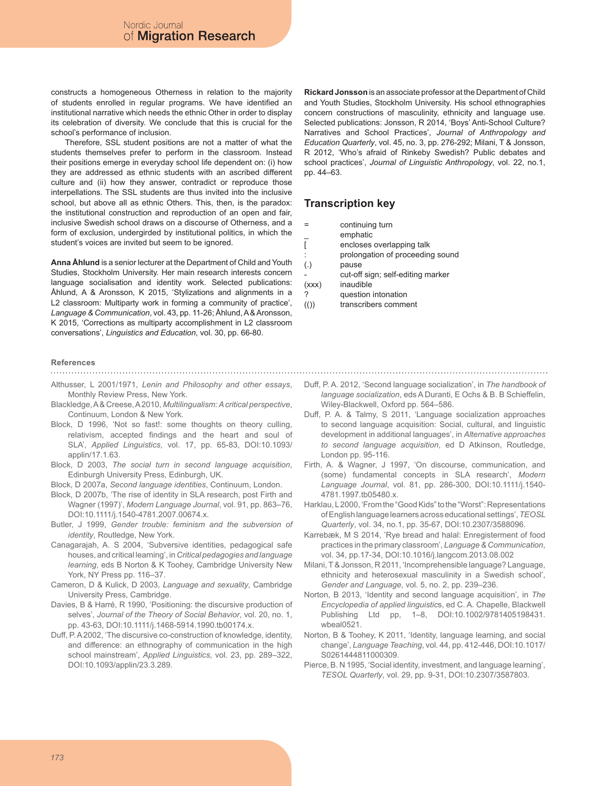constructs a homogeneous Otherness in relation to the majority of students enrolled in regular programs. We have identified an institutional narrative which needs the ethnic Other in order to display its celebration of diversity. We conclude that this is crucial for the school's performance of inclusion.

Therefore, SSL student positions are not a matter of what the students themselves prefer to perform in the classroom. Instead their positions emerge in everyday school life dependent on: (i) how they are addressed as ethnic students with an ascribed different culture and (ii) how they answer, contradict or reproduce those interpellations. The SSL students are thus invited into the inclusive school, but above all as ethnic Others. This, then, is the paradox: the institutional construction and reproduction of an open and fair, inclusive Swedish school draws on a discourse of Otherness, and a form of exclusion, undergirded by institutional politics, in which the student's voices are invited but seem to be ignored.

**Anna Åhlund** is a senior lecturer at the Department of Child and Youth Studies, Stockholm University. Her main research interests concern language socialisation and identity work. Selected publications: Åhlund, A & Aronsson, K 2015, 'Stylizations and alignments in a L2 classroom: Multiparty work in forming a community of practice', *Language & Communication*, vol. 43, pp. 11-26; Åhlund, A & Aronsson, K 2015, 'Corrections as multiparty accomplishment in L2 classroom conversations', *Linguistics and Education*, vol. 30, pp. 66-80.

#### **References**

- Althusser, L 2001/1971, *Lenin and Philosophy and other essays*, Monthly Review Press, New York.
- Blackledge, A & Creese, A 2010, *Multilingualism: A critical perspective*, Continuum, London & New York.
- Block, D 1996, 'Not so fast!: some thoughts on theory culling, relativism, accepted findings and the heart and soul of SLA', *Applied Linguistics*, vol. 17, pp. 65-83, DOI:10.1093/ applin/17.1.63.
- Block, D 2003, *The social turn in second language acquisition*, Edinburgh University Press, Edinburgh, UK.
- Block, D 2007a, *Second language identities*, Continuum, London.
- Block, D 2007b, 'The rise of identity in SLA research, post Firth and Wagner (1997)', *Modern Language Journal*, vol. 91, pp. 863–76, DOI:10.1111/j.1540-4781.2007.00674.x.
- Butler, J 1999, *Gender trouble: feminism and the subversion of identity*, Routledge, New York.
- Canagarajah, A. S 2004, 'Subversive identities, pedagogical safe houses, and critical learning', in *Critical pedagogies and language learning*, eds B Norton & K Toohey, Cambridge University New York, NY Press pp. 116–37.
- Cameron, D & Kulick, D 2003, *Language and sexuality*, Cambridge University Press, Cambridge.
- Davies, B & Harré, R 1990, 'Positioning: the discursive production of selves', *Journal of the Theory of Social Behavior*, vol. 20, no. 1, pp. 43-63, DOI:10.1111/j.1468-5914.1990.tb00174.x.
- Duff, P. A 2002, 'The discursive co-construction of knowledge, identity, and difference: an ethnography of communication in the high school mainstream', *Applied Linguistics*, vol. 23, pp. 289–322, DOI:10.1093/applin/23.3.289.

**Rickard Jonsson** is an associate professor at the Department of Child and Youth Studies, Stockholm University. His school ethnographies concern constructions of masculinity, ethnicity and language use. Selected publications: Jonsson, R 2014, 'Boys' Anti-School Culture? Narratives and School Practices', *Journal of Anthropology and Education Quarterly*, vol. 45, no. 3, pp. 276-292; Milani, T & Jonsson, R 2012, 'Who's afraid of Rinkeby Swedish? Public debates and school practices', *Journal of Linguistic Anthropology*, vol. 22, no.1, pp. 44–63.

#### **Transcription key**

|                   | continuing turn                   |
|-------------------|-----------------------------------|
|                   | emphatic                          |
| ſ                 | encloses overlapping talk         |
| İ                 | prolongation of proceeding sound  |
| $\left( .\right)$ | pause                             |
|                   | cut-off sign; self-editing marker |
| (xxX)             | inaudible                         |
|                   | question intonation               |

(()) transcribers comment

- Duff, P. A. 2012, 'Second language socialization', in *The handbook of language socialization*, eds A Duranti, E Ochs & B. B Schieffelin, Wiley-Blackwell, Oxford pp. 564–586.
- Duff, P. A. & Talmy, S 2011, 'Language socialization approaches to second language acquisition: Social, cultural, and linguistic development in additional languages', in *Alternative approaches to second language acquisition*, ed D Atkinson, Routledge, London pp. 95-116.
- Firth, A. & Wagner, J 1997, 'On discourse, communication, and (some) fundamental concepts in SLA research', *Modern Language Journal*, vol. 81, pp. 286-300, DOI:10.1111/j.1540- 4781.1997.tb05480.x.
- Harklau, L 2000, 'From the "Good Kids" to the "Worst": Representations of English language learners across educational settings', *TEOSL Quarterly*, vol. 34, no.1, pp. 35-67, DOI:10.2307/3588096.
- Karrebæk, M S 2014, 'Rye bread and halal: Enregisterment of food practices in the primary classroom', *Language & Communication*, vol. 34, pp.17-34, DOI:10.1016/j.langcom.2013.08.002
- Milani, T & Jonsson, R 2011, 'Incomprehensible language? Language, ethnicity and heterosexual masculinity in a Swedish school', *Gender and Language*, vol. 5, no. 2, pp. 239–236.
- Norton, B 2013, 'Identity and second language acquisition', in *The Encyclopedia of applied linguistic*s, ed C. A. Chapelle, Blackwell Publishing Ltd pp, 1–8, DOI:10.1002/9781405198431. wheal0521
- Norton, B & Toohey, K 2011, 'Identity, language learning, and social change', *Language Teaching*, vol. 44, pp. 412-446, DOI:10.1017/ S0261444811000309.
- Pierce, B. N 1995, 'Social identity, investment, and language learning', *TESOL Quarterly*, vol. 29, pp. 9-31, DOI:10.2307/3587803.